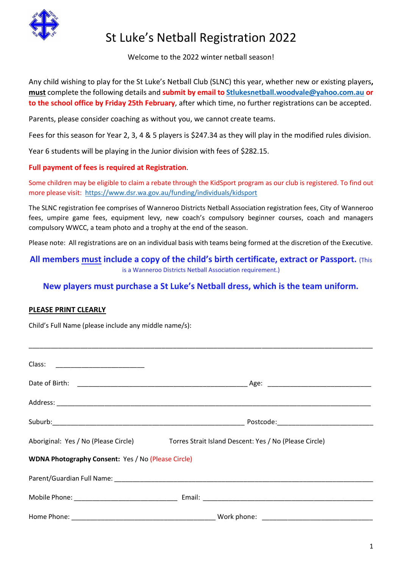

# St Luke's Netball Registration 2022

Welcome to the 2022 winter netball season!

Any child wishing to play for the St Luke's Netball Club (SLNC) this year, whether new or existing players**, must** complete the following details and **submit by email to [Stlukesnetball.woodvale@yahoo.com.au](mailto:Stlukesnetball.woodvale@yahoo.com.au) or to the school office by Friday 25th February**, after which time, no further registrations can be accepted.

Parents, please consider coaching as without you, we cannot create teams.

Fees for this season for Year 2, 3, 4 & 5 players is \$247.34 as they will play in the modified rules division.

Year 6 students will be playing in the Junior division with fees of \$282.15.

### **Full payment of fees is required at Registration**.

Some children may be eligible to claim a rebate through the KidSport program as our club is registered. To find out more please visit:<https://www.dsr.wa.gov.au/funding/individuals/kidsport>

The SLNC registration fee comprises of Wanneroo Districts Netball Association registration fees, City of Wanneroo fees, umpire game fees, equipment levy, new coach's compulsory beginner courses, coach and managers compulsory WWCC, a team photo and a trophy at the end of the season.

Please note: All registrations are on an individual basis with teams being formed at the discretion of the Executive.

**All members must include a copy of the child's birth certificate, extract or Passport.** (This is a Wanneroo Districts Netball Association requirement.)

## **New players must purchase a St Luke's Netball dress, which is the team uniform.**

### **PLEASE PRINT CLEARLY**

Child's Full Name (please include any middle name/s):

|                                                           | Aboriginal: Yes / No (Please Circle) Torres Strait Island Descent: Yes / No (Please Circle) |
|-----------------------------------------------------------|---------------------------------------------------------------------------------------------|
| <b>WDNA Photography Consent: Yes / No (Please Circle)</b> |                                                                                             |
|                                                           |                                                                                             |
|                                                           |                                                                                             |
|                                                           |                                                                                             |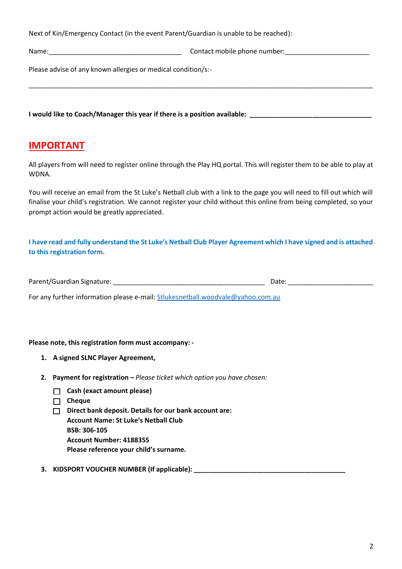Next of Kin/Emergency Contact (in the event Parent/Guardian is unable to be reached):

Name: which is a set of the contact mobile phone number:

Please advise of any known allergies or medical condition/s:-

**I would like to Coach/Manager this year if there is a position available:**  $\blacksquare$ 

# **IMPORTANT**

All players from will need to register online through the Play HQ portal. This will register them to be able to play at WDNA.

\_\_\_\_\_\_\_\_\_\_\_\_\_\_\_\_\_\_\_\_\_\_\_\_\_\_\_\_\_\_\_\_\_\_\_\_\_\_\_\_\_\_\_\_\_\_\_\_\_\_\_\_\_\_\_\_\_\_\_\_\_\_\_\_\_\_\_\_\_\_\_\_\_\_\_\_\_\_\_\_\_\_\_\_\_\_\_\_\_\_\_\_\_

You will receive an email from the St Luke's Netball club with a link to the page you will need to fill out which will finalise your child's registration. We cannot register your child without this online from being completed, so your prompt action would be greatly appreciated.

**I have read and fully understand the St Luke's Netball Club Player Agreement which I have signed and is attached to this registration form.** 

| Parent/Guardian Signature: | Date |
|----------------------------|------|
|                            |      |

For any further information please e-mail: [Stlukesnetball.woodvale@yahoo.com.au](mailto:Stlukesnetball.woodvale@yahoo.com.au)

#### **Please note, this registration form must accompany: -**

- **1. A signed SLNC Player Agreement,**
- **2. Payment for registration –** *Please ticket which option you have chosen:*
	- **Cash (exact amount please)**
	- **Cheque**
	- **Direct bank deposit. Details for our bank account are: Account Name: St Luke's Netball Club**

**BSB: 306-105 Account Number: 4188355**

**Please reference your child's surname.**

### **3. KIDSPORT VOUCHER NUMBER (If applicable): \_\_\_\_\_\_\_\_\_\_\_\_\_\_\_\_\_\_\_\_\_\_\_\_\_\_\_\_\_\_\_\_\_\_\_\_\_\_\_\_\_**